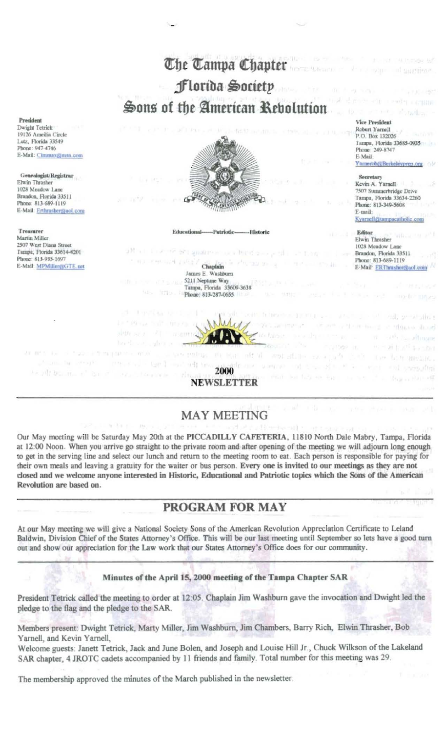

## **MAY MEETING**

Our May meeting will be Saturday May 20th at the PICCADILLY CAFETERIA, 11810 North Dale Mabry, Tampa, Florida at 12:00 Noon. When you arrive go straight to the private room and after opening of the meeting we will adjourn long enough to get in the serving line and select our lunch and return to the meeting room to eat. Each person is responsible for paying for their own meals and leaving a gratuity for the waiter or bus person. Every one is invited to our meetings as they are not closed and we welcome anyone interested in Historic, Educational and Patriotic topics which the Sons of the American Revolution are based on.

## PROGRAM FOR MAY

At our May meeting we will give a National Society Sons of the American Revolution Appreciation Certificate to Leland Baldwin, Division Chief of the States Attorney's Office. This will be our last meeting until September so lets have a good turn out and show our appreciation for the Law work that our States Attorney's Office does for our community.

Minutes of the April 15, 2000 meeting of the Tampa Chapter SAR

President Tetrick called the meeting to order at 12:05. Chaplain Jim Washburn gave the invocation and Dwight led the pledge to the flag and the pledge to the SAR.

Members present: Dwight Tetrick, Marty Miller, Jim Washburn, Jim Chambers, Barry Rich, Elwin Thrasher, Bob Yarnell, and Kevin Yarnell,

Welcome guests: Janett Tetrick, Jack and June Bolen, and Joseph and Louise Hill Jr., Chuck Wilkson of the Lakeland SAR chapter, 4 JROTC cadets accompanied by 11 friends and family. Total number for this meeting was 29.

The membership approved the minutes of the March published in the newsletter.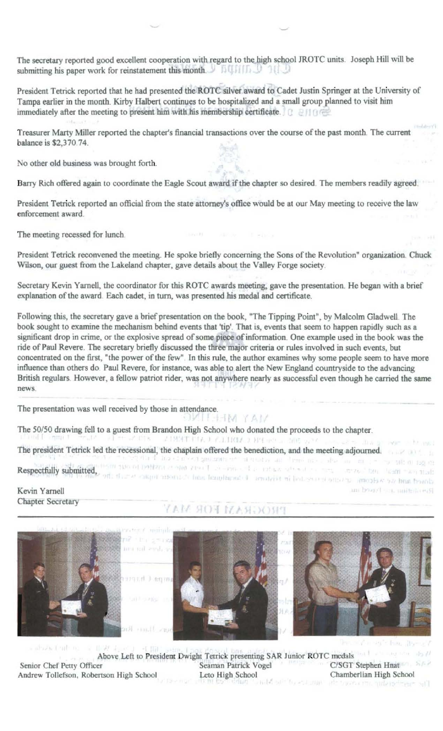The secretary reported good excellent cooperation with regard to the high school JROTC units. Joseph Hill will be submitting his paper work for reinstatement this month. In LITE D

President Tetrick reported that he had presented the ROTC silver award to Cadet Justin Springer at the University of Tampa earlier in the month. Kirby Halbert continues to be hospitalized and a small group planned to visit him immediately after the meeting to present him with his membership certificate.

Treasurer Marty Miller reported the chapter's financial transactions over the course of the past month. The current balance is \$2,370.74.

No other old business was brought forth.

Barry Rich offered again to coordinate the Eagle Scout award if the chapter so desired. The members readily agreed.

President Tetrick reported an official from the state attorney's office would be at our May meeting to receive the law enforcement award.

The meeting recessed for lunch.

President Tetrick reconvened the meeting. He spoke briefly concerning the Sons of the Revolution" organization. Chuck Wilson, our guest from the Lakeland chapter, gave details about the Valley Forge society.

Secretary Kevin Yarnell, the coordinator for this ROTC awards meeting, gave the presentation. He began with a brief explanation of the award. Each cadet, in turn, was presented his medal and certificate.

Following this, the secretary gave a brief presentation on the book, "The Tipping Point", by Malcolm Gladwell. The book sought to examine the mechanism behind events that 'tip'. That is, events that seem to happen rapidly such as a significant drop in crime, or the explosive spread of some piece of information. One example used in the book was the ride of Paul Revere. The secretary briefly discussed the three major criteria or rules involved in such events, but concentrated on the first, "the power of the few". In this rule, the author examines why some people seem to have more influence than others do. Paul Revere, for instance, was able to alert the New England countryside to the advancing British regulars. However, a fellow patriot rider, was not anywhere nearly as successful even though he carried the same news

The presentation was well received by those in attendance.

HM YAM The 50/50 drawing fell to a guest from Brandon High School who donated the proceeds to the chapter. UTS / LINET FIX J FILIMA 2 HOLDS AND 2790 The president Tetrick led the recessional, the chaplain offered the benediction, and the meeting adjourned. thing the change and are in study on them into the line in the particle and one Respectfully submitted, on the other months has lengthened a problem in lead sample and a model and branch Fresh bulletin Radification of Kevin Yarnell an broad sea, materialed

**Chapter Secretary** 

## PROGRAM FOR MAY



but It in **GASE TITLE**  $15.11$ Above Left to President Dwight Tetrick presenting SAR Junior ROTC medals C/SGT Stephen Hnat Senior Chef Petty Officer Seaman Patrick Vogel Chamberlian High School Leto High School Andrew Tollefson, Robertson High School interest of the country of the country interesting and